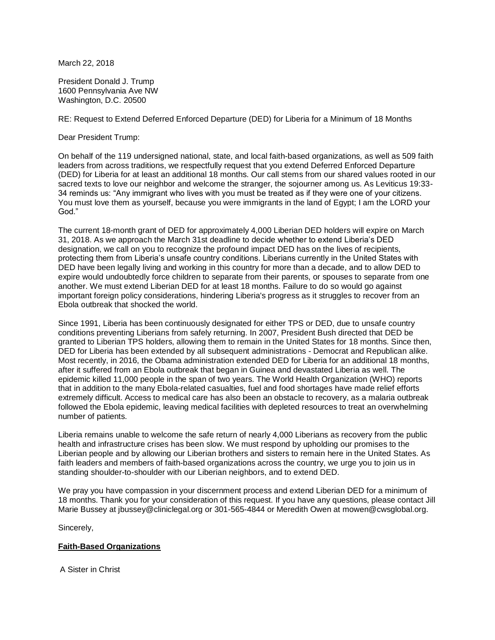March 22, 2018

President Donald J. Trump 1600 Pennsylvania Ave NW Washington, D.C. 20500

RE: Request to Extend Deferred Enforced Departure (DED) for Liberia for a Minimum of 18 Months

Dear President Trump:

On behalf of the 119 undersigned national, state, and local faith-based organizations, as well as 509 faith leaders from across traditions, we respectfully request that you extend Deferred Enforced Departure (DED) for Liberia for at least an additional 18 months. Our call stems from our shared values rooted in our sacred texts to love our neighbor and welcome the stranger, the sojourner among us. As Leviticus 19:33- 34 reminds us: "Any immigrant who lives with you must be treated as if they were one of your citizens. You must love them as yourself, because you were immigrants in the land of Egypt; I am the LORD your God."

The current 18-month grant of DED for approximately 4,000 Liberian DED holders will expire on March 31, 2018. As we approach the March 31st deadline to decide whether to extend Liberia's DED designation, we call on you to recognize the profound impact DED has on the lives of recipients, protecting them from Liberia's unsafe country conditions. Liberians currently in the United States with DED have been legally living and working in this country for more than a decade, and to allow DED to expire would undoubtedly force children to separate from their parents, or spouses to separate from one another. We must extend Liberian DED for at least 18 months. Failure to do so would go against important foreign policy considerations, hindering Liberia's progress as it struggles to recover from an Ebola outbreak that shocked the world.

Since 1991, Liberia has been continuously designated for either TPS or DED, due to unsafe country conditions preventing Liberians from safely returning. In 2007, President Bush directed that DED be granted to Liberian TPS holders, allowing them to remain in the United States for 18 months. Since then, DED for Liberia has been extended by all subsequent administrations - Democrat and Republican alike. Most recently, in 2016, the Obama administration extended DED for Liberia for an additional 18 months, after it suffered from an Ebola outbreak that began in Guinea and devastated Liberia as well. The epidemic killed 11,000 people in the span of two years. The World Health Organization (WHO) reports that in addition to the many Ebola-related casualties, fuel and food shortages have made relief efforts extremely difficult. Access to medical care has also been an obstacle to recovery, as a malaria outbreak followed the Ebola epidemic, leaving medical facilities with depleted resources to treat an overwhelming number of patients.

Liberia remains unable to welcome the safe return of nearly 4,000 Liberians as recovery from the public health and infrastructure crises has been slow. We must respond by upholding our promises to the Liberian people and by allowing our Liberian brothers and sisters to remain here in the United States. As faith leaders and members of faith-based organizations across the country, we urge you to join us in standing shoulder-to-shoulder with our Liberian neighbors, and to extend DED.

We pray you have compassion in your discernment process and extend Liberian DED for a minimum of 18 months. Thank you for your consideration of this request. If you have any questions, please contact Jill Marie Bussey at jbussey@cliniclegal.org or 301-565-4844 or Meredith Owen at mowen@cwsglobal.org.

Sincerely,

## **Faith-Based Organizations**

A Sister in Christ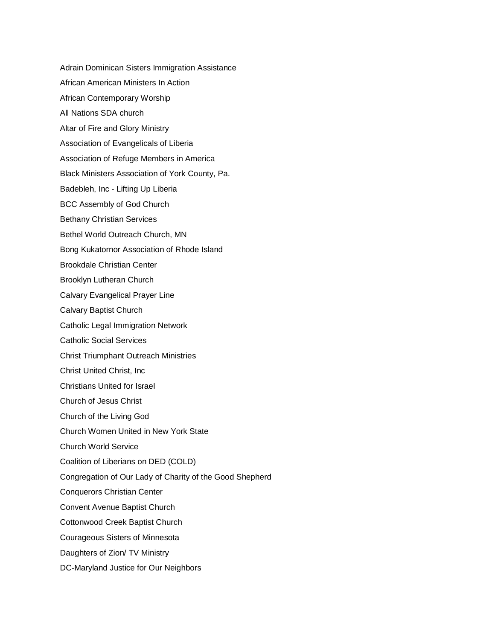- Adrain Dominican Sisters Immigration Assistance
- African American Ministers In Action
- African Contemporary Worship
- All Nations SDA church
- Altar of Fire and Glory Ministry
- Association of Evangelicals of Liberia
- Association of Refuge Members in America
- Black Ministers Association of York County, Pa.
- Badebleh, Inc Lifting Up Liberia
- BCC Assembly of God Church
- Bethany Christian Services
- Bethel World Outreach Church, MN
- Bong Kukatornor Association of Rhode Island
- Brookdale Christian Center
- Brooklyn Lutheran Church
- Calvary Evangelical Prayer Line
- Calvary Baptist Church
- Catholic Legal Immigration Network
- Catholic Social Services
- Christ Triumphant Outreach Ministries
- Christ United Christ, Inc
- Christians United for Israel
- Church of Jesus Christ
- Church of the Living God
- Church Women United in New York State
- Church World Service
- Coalition of Liberians on DED (COLD)
- Congregation of Our Lady of Charity of the Good Shepherd
- Conquerors Christian Center
- Convent Avenue Baptist Church
- Cottonwood Creek Baptist Church
- Courageous Sisters of Minnesota
- Daughters of Zion/ TV Ministry
- DC-Maryland Justice for Our Neighbors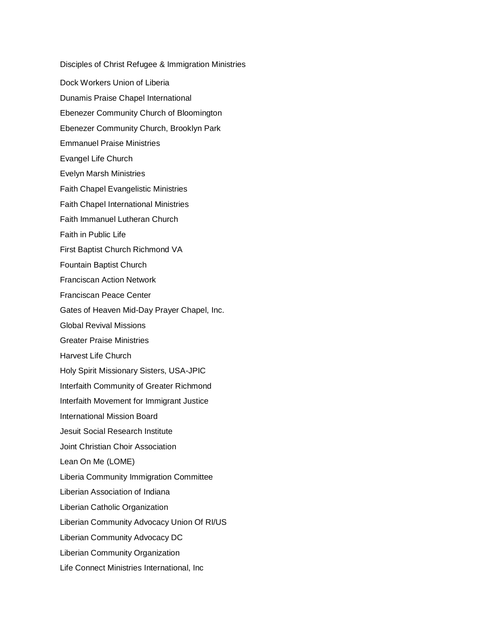Disciples of Christ Refugee & Immigration Ministries Dock Workers Union of Liberia Dunamis Praise Chapel International Ebenezer Community Church of Bloomington Ebenezer Community Church, Brooklyn Park Emmanuel Praise Ministries Evangel Life Church Evelyn Marsh Ministries Faith Chapel Evangelistic Ministries Faith Chapel International Ministries Faith Immanuel Lutheran Church Faith in Public Life First Baptist Church Richmond VA Fountain Baptist Church Franciscan Action Network Franciscan Peace Center Gates of Heaven Mid-Day Prayer Chapel, Inc. Global Revival Missions Greater Praise Ministries Harvest Life Church Holy Spirit Missionary Sisters, USA-JPIC Interfaith Community of Greater Richmond Interfaith Movement for Immigrant Justice International Mission Board Jesuit Social Research Institute Joint Christian Choir Association Lean On Me (LOME) Liberia Community Immigration Committee Liberian Association of Indiana Liberian Catholic Organization Liberian Community Advocacy Union Of RI/US Liberian Community Advocacy DC Liberian Community Organization Life Connect Ministries International, Inc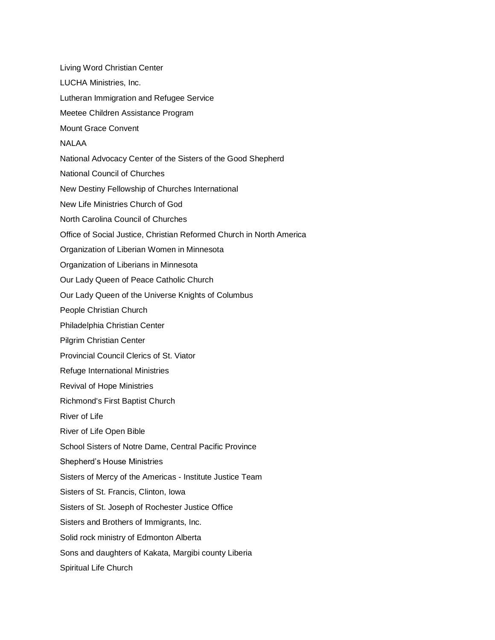Living Word Christian Center LUCHA Ministries, Inc. Lutheran Immigration and Refugee Service Meetee Children Assistance Program Mount Grace Convent NALAA National Advocacy Center of the Sisters of the Good Shepherd National Council of Churches New Destiny Fellowship of Churches International New Life Ministries Church of God North Carolina Council of Churches Office of Social Justice, Christian Reformed Church in North America Organization of Liberian Women in Minnesota Organization of Liberians in Minnesota Our Lady Queen of Peace Catholic Church Our Lady Queen of the Universe Knights of Columbus People Christian Church Philadelphia Christian Center Pilgrim Christian Center Provincial Council Clerics of St. Viator Refuge International Ministries Revival of Hope Ministries Richmond's First Baptist Church River of Life River of Life Open Bible School Sisters of Notre Dame, Central Pacific Province Shepherd's House Ministries Sisters of Mercy of the Americas - Institute Justice Team Sisters of St. Francis, Clinton, Iowa Sisters of St. Joseph of Rochester Justice Office Sisters and Brothers of Immigrants, Inc. Solid rock ministry of Edmonton Alberta Sons and daughters of Kakata, Margibi county Liberia Spiritual Life Church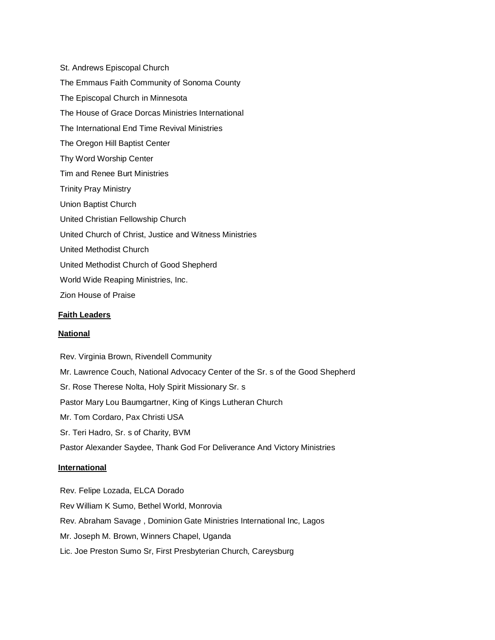St. Andrews Episcopal Church The Emmaus Faith Community of Sonoma County The Episcopal Church in Minnesota The House of Grace Dorcas Ministries International The International End Time Revival Ministries The Oregon Hill Baptist Center Thy Word Worship Center Tim and Renee Burt Ministries Trinity Pray Ministry Union Baptist Church United Christian Fellowship Church United Church of Christ, Justice and Witness Ministries United Methodist Church United Methodist Church of Good Shepherd World Wide Reaping Ministries, Inc. Zion House of Praise

## **Faith Leaders**

## **National**

Rev. Virginia Brown, Rivendell Community Mr. Lawrence Couch, National Advocacy Center of the Sr. s of the Good Shepherd Sr. Rose Therese Nolta, Holy Spirit Missionary Sr. s Pastor Mary Lou Baumgartner, King of Kings Lutheran Church Mr. Tom Cordaro, Pax Christi USA Sr. Teri Hadro, Sr. s of Charity, BVM Pastor Alexander Saydee, Thank God For Deliverance And Victory Ministries

# **International**

Rev. Felipe Lozada, ELCA Dorado Rev William K Sumo, Bethel World, Monrovia Rev. Abraham Savage , Dominion Gate Ministries International Inc, Lagos Mr. Joseph M. Brown, Winners Chapel, Uganda Lic. Joe Preston Sumo Sr, First Presbyterian Church, Careysburg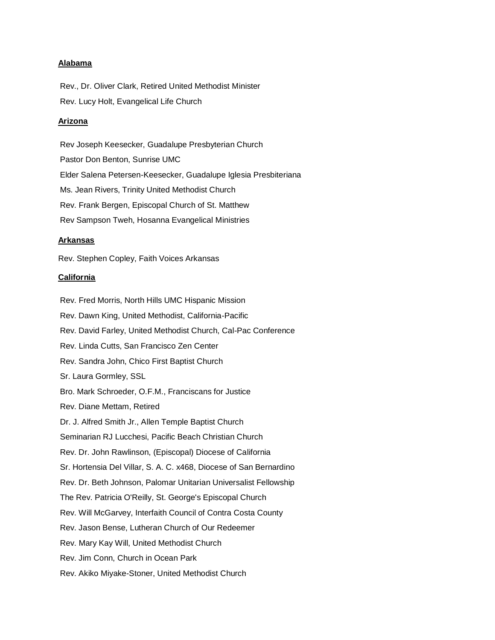#### **Alabama**

Rev., Dr. Oliver Clark, Retired United Methodist Minister Rev. Lucy Holt, Evangelical Life Church

#### **Arizona**

Rev Joseph Keesecker, Guadalupe Presbyterian Church Pastor Don Benton, Sunrise UMC Elder Salena Petersen-Keesecker, Guadalupe Iglesia Presbiteriana Ms. Jean Rivers, Trinity United Methodist Church Rev. Frank Bergen, Episcopal Church of St. Matthew Rev Sampson Tweh, Hosanna Evangelical Ministries

#### **Arkansas**

Rev. Stephen Copley, Faith Voices Arkansas

#### **California**

Rev. Fred Morris, North Hills UMC Hispanic Mission Rev. Dawn King, United Methodist, California-Pacific Rev. David Farley, United Methodist Church, Cal-Pac Conference Rev. Linda Cutts, San Francisco Zen Center Rev. Sandra John, Chico First Baptist Church Sr. Laura Gormley, SSL Bro. Mark Schroeder, O.F.M., Franciscans for Justice Rev. Diane Mettam, Retired Dr. J. Alfred Smith Jr., Allen Temple Baptist Church Seminarian RJ Lucchesi, Pacific Beach Christian Church Rev. Dr. John Rawlinson, (Episcopal) Diocese of California Sr. Hortensia Del Villar, S. A. C. x468, Diocese of San Bernardino Rev. Dr. Beth Johnson, Palomar Unitarian Universalist Fellowship The Rev. Patricia O'Reilly, St. George's Episcopal Church Rev. Will McGarvey, Interfaith Council of Contra Costa County Rev. Jason Bense, Lutheran Church of Our Redeemer Rev. Mary Kay Will, United Methodist Church Rev. Jim Conn, Church in Ocean Park Rev. Akiko Miyake-Stoner, United Methodist Church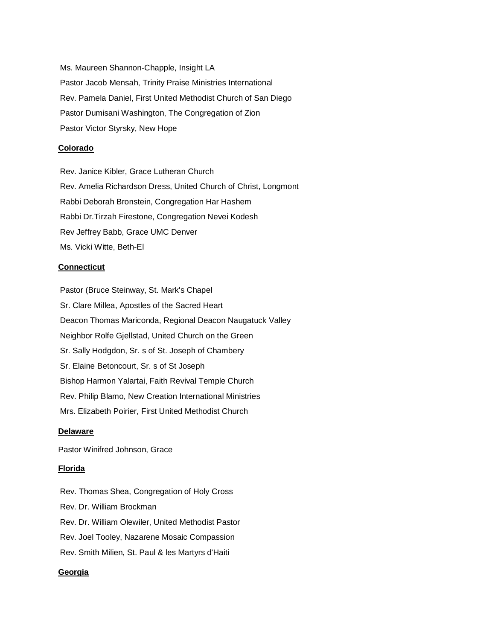Ms. Maureen Shannon-Chapple, Insight LA Pastor Jacob Mensah, Trinity Praise Ministries International Rev. Pamela Daniel, First United Methodist Church of San Diego Pastor Dumisani Washington, The Congregation of Zion Pastor Victor Styrsky, New Hope

## **Colorado**

Rev. Janice Kibler, Grace Lutheran Church Rev. Amelia Richardson Dress, United Church of Christ, Longmont Rabbi Deborah Bronstein, Congregation Har Hashem Rabbi Dr.Tirzah Firestone, Congregation Nevei Kodesh Rev Jeffrey Babb, Grace UMC Denver Ms. Vicki Witte, Beth-El

## **Connecticut**

Pastor (Bruce Steinway, St. Mark's Chapel Sr. Clare Millea, Apostles of the Sacred Heart Deacon Thomas Mariconda, Regional Deacon Naugatuck Valley Neighbor Rolfe Gjellstad, United Church on the Green Sr. Sally Hodgdon, Sr. s of St. Joseph of Chambery Sr. Elaine Betoncourt, Sr. s of St Joseph Bishop Harmon Yalartai, Faith Revival Temple Church Rev. Philip Blamo, New Creation International Ministries Mrs. Elizabeth Poirier, First United Methodist Church

### **Delaware**

Pastor Winifred Johnson, Grace

### **Florida**

Rev. Thomas Shea, Congregation of Holy Cross Rev. Dr. William Brockman Rev. Dr. William Olewiler, United Methodist Pastor Rev. Joel Tooley, Nazarene Mosaic Compassion Rev. Smith Milien, St. Paul & les Martyrs d'Haiti

# **Georgia**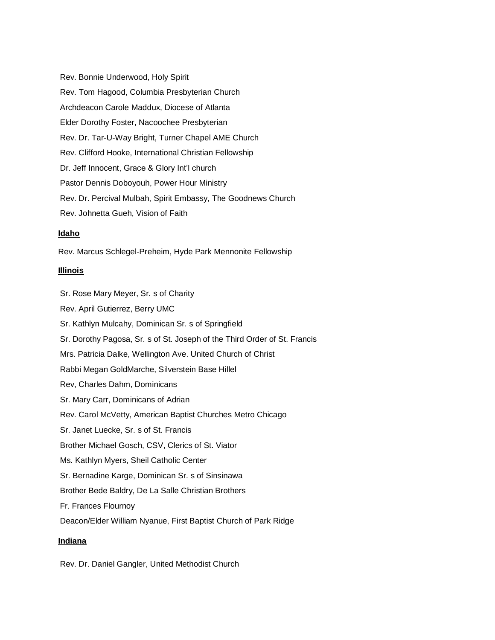Rev. Bonnie Underwood, Holy Spirit Rev. Tom Hagood, Columbia Presbyterian Church Archdeacon Carole Maddux, Diocese of Atlanta Elder Dorothy Foster, Nacoochee Presbyterian Rev. Dr. Tar-U-Way Bright, Turner Chapel AME Church Rev. Clifford Hooke, International Christian Fellowship Dr. Jeff Innocent, Grace & Glory Int'l church Pastor Dennis Doboyouh, Power Hour Ministry Rev. Dr. Percival Mulbah, Spirit Embassy, The Goodnews Church Rev. Johnetta Gueh, Vision of Faith

# **Idaho**

Rev. Marcus Schlegel-Preheim, Hyde Park Mennonite Fellowship

# **Illinois**

Sr. Rose Mary Meyer, Sr. s of Charity Rev. April Gutierrez, Berry UMC Sr. Kathlyn Mulcahy, Dominican Sr. s of Springfield Sr. Dorothy Pagosa, Sr. s of St. Joseph of the Third Order of St. Francis Mrs. Patricia Dalke, Wellington Ave. United Church of Christ Rabbi Megan GoldMarche, Silverstein Base Hillel Rev, Charles Dahm, Dominicans Sr. Mary Carr, Dominicans of Adrian Rev. Carol McVetty, American Baptist Churches Metro Chicago Sr. Janet Luecke, Sr. s of St. Francis Brother Michael Gosch, CSV, Clerics of St. Viator Ms. Kathlyn Myers, Sheil Catholic Center Sr. Bernadine Karge, Dominican Sr. s of Sinsinawa Brother Bede Baldry, De La Salle Christian Brothers Fr. Frances Flournoy Deacon/Elder William Nyanue, First Baptist Church of Park Ridge

# **Indiana**

Rev. Dr. Daniel Gangler, United Methodist Church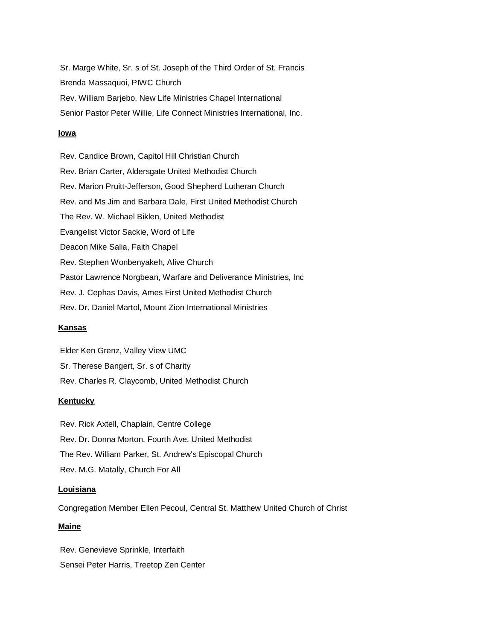Sr. Marge White, Sr. s of St. Joseph of the Third Order of St. Francis Brenda Massaquoi, PIWC Church Rev. William Barjebo, New Life Ministries Chapel International Senior Pastor Peter Willie, Life Connect Ministries International, Inc.

### **Iowa**

Rev. Candice Brown, Capitol Hill Christian Church Rev. Brian Carter, Aldersgate United Methodist Church Rev. Marion Pruitt-Jefferson, Good Shepherd Lutheran Church Rev. and Ms Jim and Barbara Dale, First United Methodist Church The Rev. W. Michael Biklen, United Methodist Evangelist Victor Sackie, Word of Life Deacon Mike Salia, Faith Chapel Rev. Stephen Wonbenyakeh, Alive Church Pastor Lawrence Norgbean, Warfare and Deliverance Ministries, Inc Rev. J. Cephas Davis, Ames First United Methodist Church Rev. Dr. Daniel Martol, Mount Zion International Ministries

#### **Kansas**

Elder Ken Grenz, Valley View UMC Sr. Therese Bangert, Sr. s of Charity Rev. Charles R. Claycomb, United Methodist Church

#### **Kentucky**

Rev. Rick Axtell, Chaplain, Centre College Rev. Dr. Donna Morton, Fourth Ave. United Methodist The Rev. William Parker, St. Andrew's Episcopal Church Rev. M.G. Matally, Church For All

#### **Louisiana**

Congregation Member Ellen Pecoul, Central St. Matthew United Church of Christ

#### **Maine**

Rev. Genevieve Sprinkle, Interfaith Sensei Peter Harris, Treetop Zen Center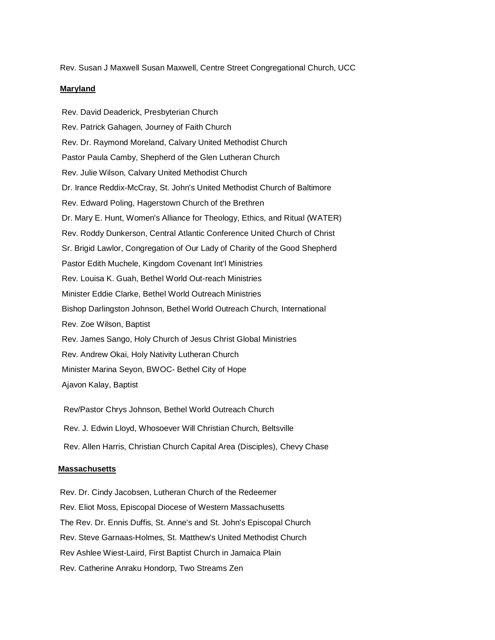Rev. Susan J Maxwell Susan Maxwell, Centre Street Congregational Church, UCC

#### **Maryland**

Rev. David Deaderick, Presbyterian Church Rev. Patrick Gahagen, Journey of Faith Church Rev. Dr. Raymond Moreland, Calvary United Methodist Church Pastor Paula Camby, Shepherd of the Glen Lutheran Church Rev. Julie Wilson, Calvary United Methodist Church Dr. Irance Reddix-McCray, St. John's United Methodist Church of Baltimore Rev. Edward Poling, Hagerstown Church of the Brethren Dr. Mary E. Hunt, Women's Alliance for Theology, Ethics, and Ritual (WATER) Rev. Roddy Dunkerson, Central Atlantic Conference United Church of Christ Sr. Brigid Lawlor, Congregation of Our Lady of Charity of the Good Shepherd Pastor Edith Muchele, Kingdom Covenant Int'l Ministries Rev. Louisa K. Guah, Bethel World Out-reach Ministries Minister Eddie Clarke, Bethel World Outreach Ministries Bishop Darlingston Johnson, Bethel World Outreach Church, International Rev. Zoe Wilson, Baptist Rev. James Sango, Holy Church of Jesus Christ Global Ministries Rev. Andrew Okai, Holy Nativity Lutheran Church Minister Marina Seyon, BWOC- Bethel City of Hope Ajavon Kalay, Baptist

Rev/Pastor Chrys Johnson, Bethel World Outreach Church Rev. J. Edwin Lloyd, Whosoever Will Christian Church, Beltsville Rev. Allen Harris, Christian Church Capital Area (Disciples), Chevy Chase

#### **Massachusetts**

Rev. Dr. Cindy Jacobsen, Lutheran Church of the Redeemer Rev. Eliot Moss, Episcopal Diocese of Western Massachusetts The Rev. Dr. Ennis Duffis, St. Anne's and St. John's Episcopal Church Rev. Steve Garnaas-Holmes, St. Matthew's United Methodist Church Rev Ashlee Wiest-Laird, First Baptist Church in Jamaica Plain Rev. Catherine Anraku Hondorp, Two Streams Zen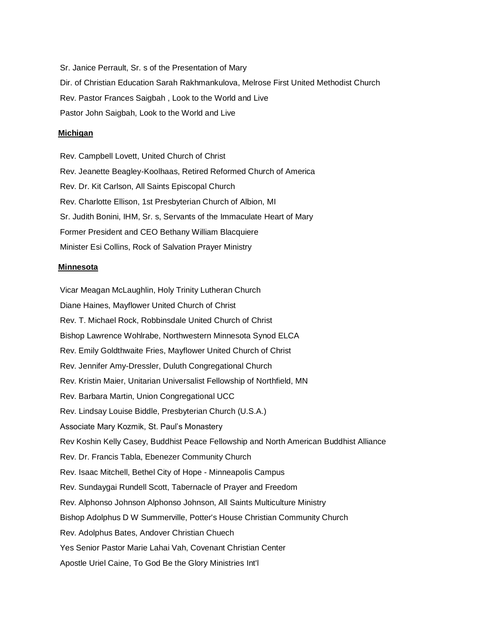Sr. Janice Perrault, Sr. s of the Presentation of Mary Dir. of Christian Education Sarah Rakhmankulova, Melrose First United Methodist Church Rev. Pastor Frances Saigbah , Look to the World and Live Pastor John Saigbah, Look to the World and Live

# **Michigan**

Rev. Campbell Lovett, United Church of Christ Rev. Jeanette Beagley-Koolhaas, Retired Reformed Church of America Rev. Dr. Kit Carlson, All Saints Episcopal Church Rev. Charlotte Ellison, 1st Presbyterian Church of Albion, MI Sr. Judith Bonini, IHM, Sr. s, Servants of the Immaculate Heart of Mary Former President and CEO Bethany William Blacquiere Minister Esi Collins, Rock of Salvation Prayer Ministry

# **Minnesota**

Vicar Meagan McLaughlin, Holy Trinity Lutheran Church Diane Haines, Mayflower United Church of Christ Rev. T. Michael Rock, Robbinsdale United Church of Christ Bishop Lawrence Wohlrabe, Northwestern Minnesota Synod ELCA Rev. Emily Goldthwaite Fries, Mayflower United Church of Christ Rev. Jennifer Amy-Dressler, Duluth Congregational Church Rev. Kristin Maier, Unitarian Universalist Fellowship of Northfield, MN Rev. Barbara Martin, Union Congregational UCC Rev. Lindsay Louise Biddle, Presbyterian Church (U.S.A.) Associate Mary Kozmik, St. Paul's Monastery Rev Koshin Kelly Casey, Buddhist Peace Fellowship and North American Buddhist Alliance Rev. Dr. Francis Tabla, Ebenezer Community Church Rev. Isaac Mitchell, Bethel City of Hope - Minneapolis Campus Rev. Sundaygai Rundell Scott, Tabernacle of Prayer and Freedom Rev. Alphonso Johnson Alphonso Johnson, All Saints Multiculture Ministry Bishop Adolphus D W Summerville, Potter's House Christian Community Church Rev. Adolphus Bates, Andover Christian Chuech Yes Senior Pastor Marie Lahai Vah, Covenant Christian Center Apostle Uriel Caine, To God Be the Glory Ministries Int'l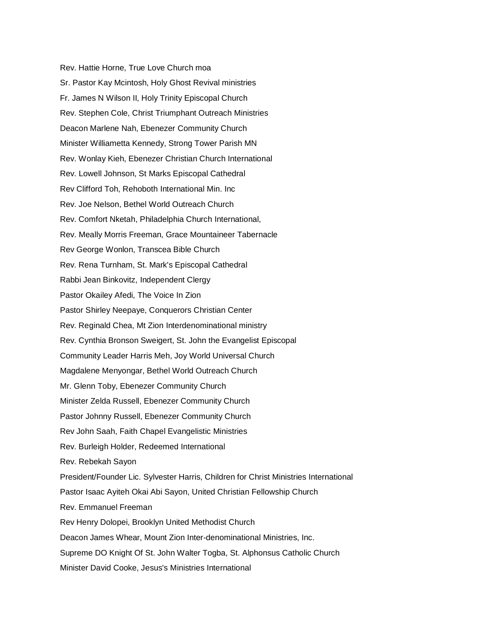Rev. Hattie Horne, True Love Church moa Sr. Pastor Kay Mcintosh, Holy Ghost Revival ministries Fr. James N Wilson II, Holy Trinity Episcopal Church Rev. Stephen Cole, Christ Triumphant Outreach Ministries Deacon Marlene Nah, Ebenezer Community Church Minister Williametta Kennedy, Strong Tower Parish MN Rev. Wonlay Kieh, Ebenezer Christian Church International Rev. Lowell Johnson, St Marks Episcopal Cathedral Rev Clifford Toh, Rehoboth International Min. Inc Rev. Joe Nelson, Bethel World Outreach Church Rev. Comfort Nketah, Philadelphia Church International, Rev. Meally Morris Freeman, Grace Mountaineer Tabernacle Rev George Wonlon, Transcea Bible Church Rev. Rena Turnham, St. Mark's Episcopal Cathedral Rabbi Jean Binkovitz, Independent Clergy Pastor Okailey Afedi, The Voice In Zion Pastor Shirley Neepaye, Conquerors Christian Center Rev. Reginald Chea, Mt Zion Interdenominational ministry Rev. Cynthia Bronson Sweigert, St. John the Evangelist Episcopal Community Leader Harris Meh, Joy World Universal Church Magdalene Menyongar, Bethel World Outreach Church Mr. Glenn Toby, Ebenezer Community Church Minister Zelda Russell, Ebenezer Community Church Pastor Johnny Russell, Ebenezer Community Church Rev John Saah, Faith Chapel Evangelistic Ministries Rev. Burleigh Holder, Redeemed International Rev. Rebekah Sayon President/Founder Lic. Sylvester Harris, Children for Christ Ministries International Pastor Isaac Ayiteh Okai Abi Sayon, United Christian Fellowship Church Rev. Emmanuel Freeman Rev Henry Dolopei, Brooklyn United Methodist Church Deacon James Whear, Mount Zion Inter-denominational Ministries, Inc. Supreme DO Knight Of St. John Walter Togba, St. Alphonsus Catholic Church Minister David Cooke, Jesus's Ministries International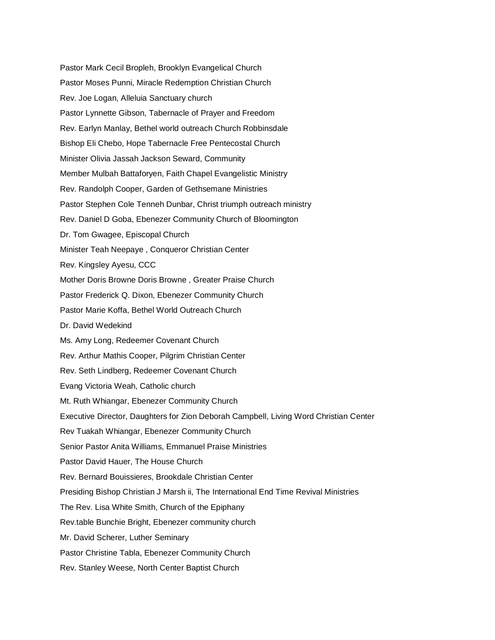Pastor Mark Cecil Bropleh, Brooklyn Evangelical Church Pastor Moses Punni, Miracle Redemption Christian Church Rev. Joe Logan, Alleluia Sanctuary church Pastor Lynnette Gibson, Tabernacle of Prayer and Freedom Rev. Earlyn Manlay, Bethel world outreach Church Robbinsdale Bishop Eli Chebo, Hope Tabernacle Free Pentecostal Church Minister Olivia Jassah Jackson Seward, Community Member Mulbah Battaforyen, Faith Chapel Evangelistic Ministry Rev. Randolph Cooper, Garden of Gethsemane Ministries Pastor Stephen Cole Tenneh Dunbar, Christ triumph outreach ministry Rev. Daniel D Goba, Ebenezer Community Church of Bloomington Dr. Tom Gwagee, Episcopal Church Minister Teah Neepaye , Conqueror Christian Center Rev. Kingsley Ayesu, CCC Mother Doris Browne Doris Browne , Greater Praise Church Pastor Frederick Q. Dixon, Ebenezer Community Church Pastor Marie Koffa, Bethel World Outreach Church Dr. David Wedekind Ms. Amy Long, Redeemer Covenant Church Rev. Arthur Mathis Cooper, Pilgrim Christian Center Rev. Seth Lindberg, Redeemer Covenant Church Evang Victoria Weah, Catholic church Mt. Ruth Whiangar, Ebenezer Community Church Executive Director, Daughters for Zion Deborah Campbell, Living Word Christian Center Rev Tuakah Whiangar, Ebenezer Community Church Senior Pastor Anita Williams, Emmanuel Praise Ministries Pastor David Hauer, The House Church Rev. Bernard Bouissieres, Brookdale Christian Center Presiding Bishop Christian J Marsh ii, The International End Time Revival Ministries The Rev. Lisa White Smith, Church of the Epiphany Rev.table Bunchie Bright, Ebenezer community church Mr. David Scherer, Luther Seminary Pastor Christine Tabla, Ebenezer Community Church Rev. Stanley Weese, North Center Baptist Church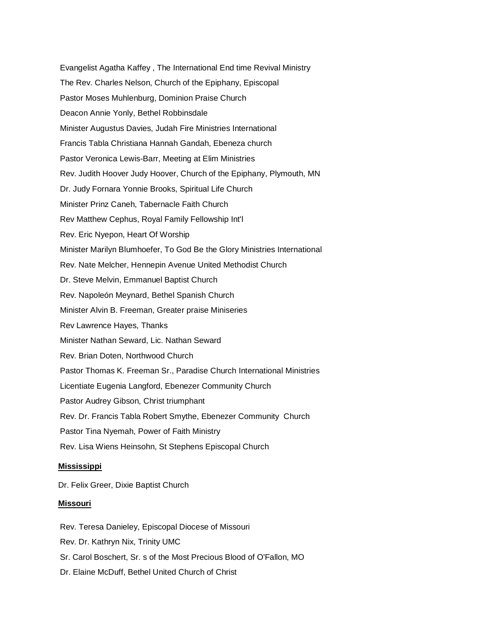Evangelist Agatha Kaffey , The International End time Revival Ministry The Rev. Charles Nelson, Church of the Epiphany, Episcopal Pastor Moses Muhlenburg, Dominion Praise Church Deacon Annie Yonly, Bethel Robbinsdale Minister Augustus Davies, Judah Fire Ministries International Francis Tabla Christiana Hannah Gandah, Ebeneza church Pastor Veronica Lewis-Barr, Meeting at Elim Ministries Rev. Judith Hoover Judy Hoover, Church of the Epiphany, Plymouth, MN Dr. Judy Fornara Yonnie Brooks, Spiritual Life Church Minister Prinz Caneh, Tabernacle Faith Church Rev Matthew Cephus, Royal Family Fellowship Int'l Rev. Eric Nyepon, Heart Of Worship Minister Marilyn Blumhoefer, To God Be the Glory Ministries International Rev. Nate Melcher, Hennepin Avenue United Methodist Church Dr. Steve Melvin, Emmanuel Baptist Church Rev. Napoleón Meynard, Bethel Spanish Church Minister Alvin B. Freeman, Greater praise Miniseries Rev Lawrence Hayes, Thanks Minister Nathan Seward, Lic. Nathan Seward Rev. Brian Doten, Northwood Church Pastor Thomas K. Freeman Sr., Paradise Church International Ministries Licentiate Eugenia Langford, Ebenezer Community Church Pastor Audrey Gibson, Christ triumphant Rev. Dr. Francis Tabla Robert Smythe, Ebenezer Community Church Pastor Tina Nyemah, Power of Faith Ministry Rev. Lisa Wiens Heinsohn, St Stephens Episcopal Church

## **Mississippi**

Dr. Felix Greer, Dixie Baptist Church

## **Missouri**

Rev. Teresa Danieley, Episcopal Diocese of Missouri

Rev. Dr. Kathryn Nix, Trinity UMC

Sr. Carol Boschert, Sr. s of the Most Precious Blood of O'Fallon, MO

Dr. Elaine McDuff, Bethel United Church of Christ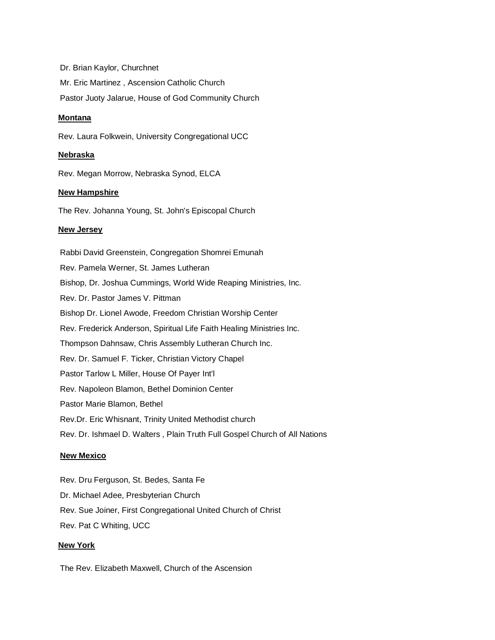Dr. Brian Kaylor, Churchnet Mr. Eric Martinez , Ascension Catholic Church Pastor Juoty Jalarue, House of God Community Church

# **Montana**

Rev. Laura Folkwein, University Congregational UCC

## **Nebraska**

Rev. Megan Morrow, Nebraska Synod, ELCA

#### **New Hampshire**

The Rev. Johanna Young, St. John's Episcopal Church

## **New Jersey**

Rabbi David Greenstein, Congregation Shomrei Emunah Rev. Pamela Werner, St. James Lutheran Bishop, Dr. Joshua Cummings, World Wide Reaping Ministries, Inc. Rev. Dr. Pastor James V. Pittman Bishop Dr. Lionel Awode, Freedom Christian Worship Center Rev. Frederick Anderson, Spiritual Life Faith Healing Ministries Inc. Thompson Dahnsaw, Chris Assembly Lutheran Church Inc. Rev. Dr. Samuel F. Ticker, Christian Victory Chapel Pastor Tarlow L Miller, House Of Payer Int'l Rev. Napoleon Blamon, Bethel Dominion Center Pastor Marie Blamon, Bethel Rev.Dr. Eric Whisnant, Trinity United Methodist church Rev. Dr. Ishmael D. Walters , Plain Truth Full Gospel Church of All Nations

## **New Mexico**

Rev. Dru Ferguson, St. Bedes, Santa Fe Dr. Michael Adee, Presbyterian Church Rev. Sue Joiner, First Congregational United Church of Christ Rev. Pat C Whiting, UCC

## **New York**

The Rev. Elizabeth Maxwell, Church of the Ascension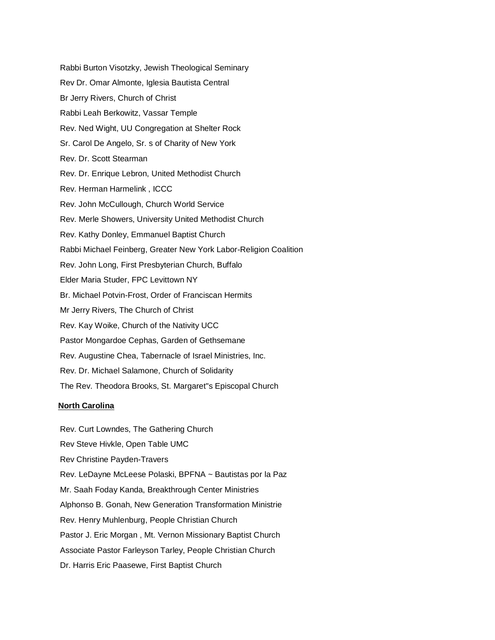Rabbi Burton Visotzky, Jewish Theological Seminary Rev Dr. Omar Almonte, Iglesia Bautista Central Br Jerry Rivers, Church of Christ Rabbi Leah Berkowitz, Vassar Temple Rev. Ned Wight, UU Congregation at Shelter Rock Sr. Carol De Angelo, Sr. s of Charity of New York Rev. Dr. Scott Stearman Rev. Dr. Enrique Lebron, United Methodist Church Rev. Herman Harmelink , ICCC Rev. John McCullough, Church World Service Rev. Merle Showers, University United Methodist Church Rev. Kathy Donley, Emmanuel Baptist Church Rabbi Michael Feinberg, Greater New York Labor-Religion Coalition Rev. John Long, First Presbyterian Church, Buffalo Elder Maria Studer, FPC Levittown NY Br. Michael Potvin-Frost, Order of Franciscan Hermits Mr Jerry Rivers, The Church of Christ Rev. Kay Woike, Church of the Nativity UCC Pastor Mongardoe Cephas, Garden of Gethsemane Rev. Augustine Chea, Tabernacle of Israel Ministries, Inc. Rev. Dr. Michael Salamone, Church of Solidarity The Rev. Theodora Brooks, St. Margaret"s Episcopal Church

#### **North Carolina**

Rev. Curt Lowndes, The Gathering Church Rev Steve Hivkle, Open Table UMC Rev Christine Payden-Travers Rev. LeDayne McLeese Polaski, BPFNA ~ Bautistas por la Paz Mr. Saah Foday Kanda, Breakthrough Center Ministries Alphonso B. Gonah, New Generation Transformation Ministrie Rev. Henry Muhlenburg, People Christian Church Pastor J. Eric Morgan , Mt. Vernon Missionary Baptist Church Associate Pastor Farleyson Tarley, People Christian Church Dr. Harris Eric Paasewe, First Baptist Church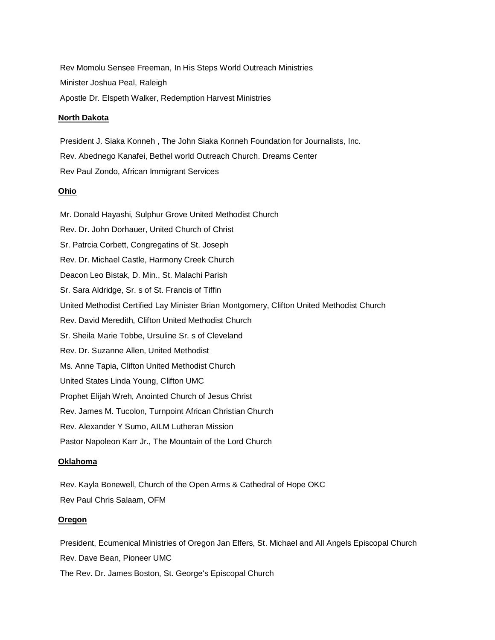Rev Momolu Sensee Freeman, In His Steps World Outreach Ministries Minister Joshua Peal, Raleigh Apostle Dr. Elspeth Walker, Redemption Harvest Ministries

### **North Dakota**

President J. Siaka Konneh , The John Siaka Konneh Foundation for Journalists, Inc. Rev. Abednego Kanafei, Bethel world Outreach Church. Dreams Center Rev Paul Zondo, African Immigrant Services

## **Ohio**

Mr. Donald Hayashi, Sulphur Grove United Methodist Church Rev. Dr. John Dorhauer, United Church of Christ Sr. Patrcia Corbett, Congregatins of St. Joseph Rev. Dr. Michael Castle, Harmony Creek Church Deacon Leo Bistak, D. Min., St. Malachi Parish Sr. Sara Aldridge, Sr. s of St. Francis of Tiffin United Methodist Certified Lay Minister Brian Montgomery, Clifton United Methodist Church Rev. David Meredith, Clifton United Methodist Church Sr. Sheila Marie Tobbe, Ursuline Sr. s of Cleveland Rev. Dr. Suzanne Allen, United Methodist Ms. Anne Tapia, Clifton United Methodist Church United States Linda Young, Clifton UMC Prophet Elijah Wreh, Anointed Church of Jesus Christ Rev. James M. Tucolon, Turnpoint African Christian Church Rev. Alexander Y Sumo, AILM Lutheran Mission Pastor Napoleon Karr Jr., The Mountain of the Lord Church

#### **Oklahoma**

Rev. Kayla Bonewell, Church of the Open Arms & Cathedral of Hope OKC Rev Paul Chris Salaam, OFM

#### **Oregon**

President, Ecumenical Ministries of Oregon Jan Elfers, St. Michael and All Angels Episcopal Church Rev. Dave Bean, Pioneer UMC The Rev. Dr. James Boston, St. George's Episcopal Church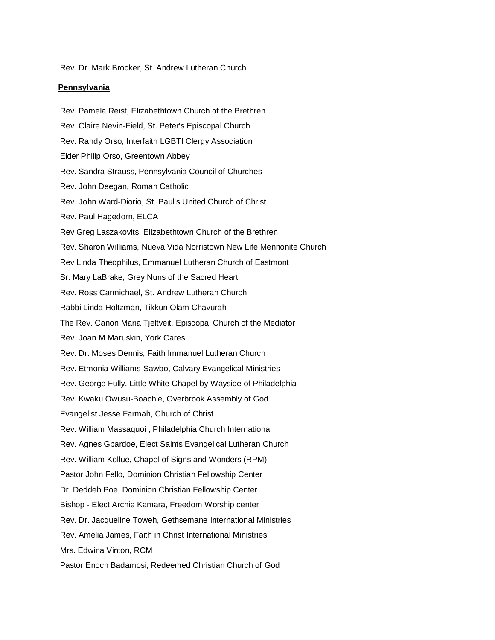Rev. Dr. Mark Brocker, St. Andrew Lutheran Church

#### **Pennsylvania**

Rev. Pamela Reist, Elizabethtown Church of the Brethren Rev. Claire Nevin-Field, St. Peter's Episcopal Church Rev. Randy Orso, Interfaith LGBTI Clergy Association Elder Philip Orso, Greentown Abbey Rev. Sandra Strauss, Pennsylvania Council of Churches Rev. John Deegan, Roman Catholic Rev. John Ward-Diorio, St. Paul's United Church of Christ Rev. Paul Hagedorn, ELCA Rev Greg Laszakovits, Elizabethtown Church of the Brethren Rev. Sharon Williams, Nueva Vida Norristown New Life Mennonite Church Rev Linda Theophilus, Emmanuel Lutheran Church of Eastmont Sr. Mary LaBrake, Grey Nuns of the Sacred Heart Rev. Ross Carmichael, St. Andrew Lutheran Church Rabbi Linda Holtzman, Tikkun Olam Chavurah The Rev. Canon Maria Tjeltveit, Episcopal Church of the Mediator Rev. Joan M Maruskin, York Cares Rev. Dr. Moses Dennis, Faith Immanuel Lutheran Church Rev. Etmonia Williams-Sawbo, Calvary Evangelical Ministries Rev. George Fully, Little White Chapel by Wayside of Philadelphia Rev. Kwaku Owusu-Boachie, Overbrook Assembly of God Evangelist Jesse Farmah, Church of Christ Rev. William Massaquoi , Philadelphia Church International Rev. Agnes Gbardoe, Elect Saints Evangelical Lutheran Church Rev. William Kollue, Chapel of Signs and Wonders (RPM) Pastor John Fello, Dominion Christian Fellowship Center Dr. Deddeh Poe, Dominion Christian Fellowship Center Bishop - Elect Archie Kamara, Freedom Worship center Rev. Dr. Jacqueline Toweh, Gethsemane International Ministries Rev. Amelia James, Faith in Christ International Ministries Mrs. Edwina Vinton, RCM Pastor Enoch Badamosi, Redeemed Christian Church of God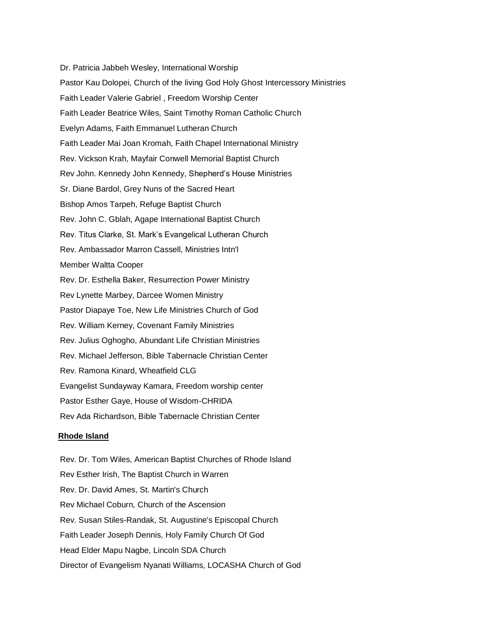Dr. Patricia Jabbeh Wesley, International Worship Pastor Kau Dolopei, Church of the living God Holy Ghost Intercessory Ministries Faith Leader Valerie Gabriel , Freedom Worship Center Faith Leader Beatrice Wiles, Saint Timothy Roman Catholic Church Evelyn Adams, Faith Emmanuel Lutheran Church Faith Leader Mai Joan Kromah, Faith Chapel International Ministry Rev. Vickson Krah, Mayfair Conwell Memorial Baptist Church Rev John. Kennedy John Kennedy, Shepherd's House Ministries Sr. Diane Bardol, Grey Nuns of the Sacred Heart Bishop Amos Tarpeh, Refuge Baptist Church Rev. John C. Gblah, Agape International Baptist Church Rev. Titus Clarke, St. Mark's Evangelical Lutheran Church Rev. Ambassador Marron Cassell, Ministries Intn'l Member Waltta Cooper Rev. Dr. Esthella Baker, Resurrection Power Ministry Rev Lynette Marbey, Darcee Women Ministry Pastor Diapaye Toe, New Life Ministries Church of God Rev. William Kerney, Covenant Family Ministries Rev. Julius Oghogho, Abundant Life Christian Ministries Rev. Michael Jefferson, Bible Tabernacle Christian Center Rev. Ramona Kinard, Wheatfield CLG Evangelist Sundayway Kamara, Freedom worship center Pastor Esther Gaye, House of Wisdom-CHRIDA Rev Ada Richardson, Bible Tabernacle Christian Center

## **Rhode Island**

Rev. Dr. Tom Wiles, American Baptist Churches of Rhode Island Rev Esther Irish, The Baptist Church in Warren Rev. Dr. David Ames, St. Martin's Church Rev Michael Coburn, Church of the Ascension Rev. Susan Stiles-Randak, St. Augustine's Episcopal Church Faith Leader Joseph Dennis, Holy Family Church Of God Head Elder Mapu Nagbe, Lincoln SDA Church Director of Evangelism Nyanati Williams, LOCASHA Church of God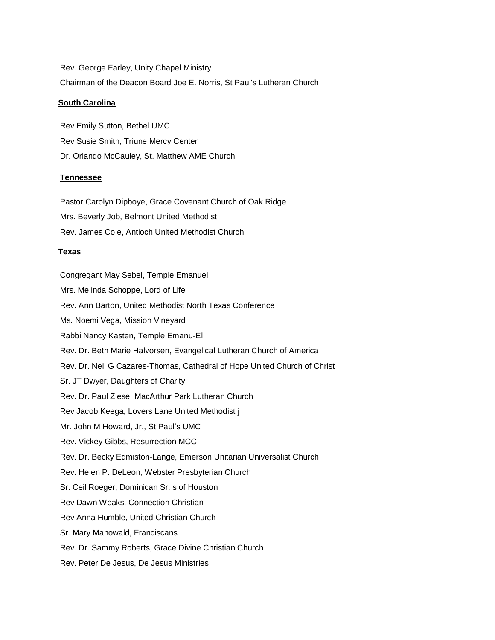Rev. George Farley, Unity Chapel Ministry Chairman of the Deacon Board Joe E. Norris, St Paul's Lutheran Church

# **South Carolina**

Rev Emily Sutton, Bethel UMC Rev Susie Smith, Triune Mercy Center Dr. Orlando McCauley, St. Matthew AME Church

# **Tennessee**

Pastor Carolyn Dipboye, Grace Covenant Church of Oak Ridge Mrs. Beverly Job, Belmont United Methodist Rev. James Cole, Antioch United Methodist Church

# **Texas**

Congregant May Sebel, Temple Emanuel Mrs. Melinda Schoppe, Lord of Life Rev. Ann Barton, United Methodist North Texas Conference Ms. Noemi Vega, Mission Vineyard Rabbi Nancy Kasten, Temple Emanu-El Rev. Dr. Beth Marie Halvorsen, Evangelical Lutheran Church of America Rev. Dr. Neil G Cazares-Thomas, Cathedral of Hope United Church of Christ Sr. JT Dwyer, Daughters of Charity Rev. Dr. Paul Ziese, MacArthur Park Lutheran Church Rev Jacob Keega, Lovers Lane United Methodist j Mr. John M Howard, Jr., St Paul's UMC Rev. Vickey Gibbs, Resurrection MCC Rev. Dr. Becky Edmiston-Lange, Emerson Unitarian Universalist Church Rev. Helen P. DeLeon, Webster Presbyterian Church Sr. Ceil Roeger, Dominican Sr. s of Houston Rev Dawn Weaks, Connection Christian Rev Anna Humble, United Christian Church Sr. Mary Mahowald, Franciscans Rev. Dr. Sammy Roberts, Grace Divine Christian Church Rev. Peter De Jesus, De Jesús Ministries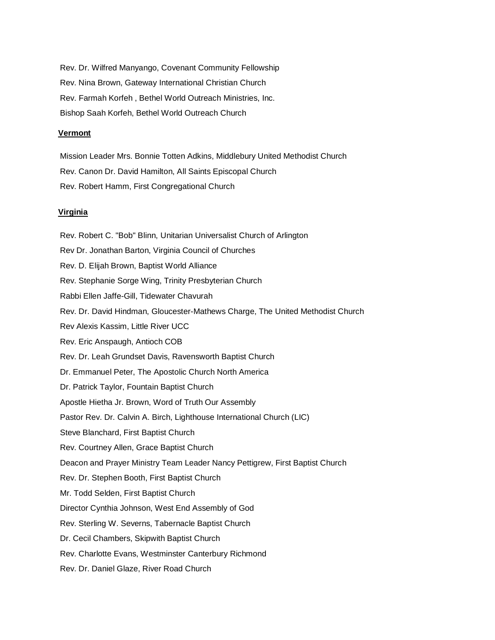Rev. Dr. Wilfred Manyango, Covenant Community Fellowship Rev. Nina Brown, Gateway International Christian Church Rev. Farmah Korfeh , Bethel World Outreach Ministries, Inc. Bishop Saah Korfeh, Bethel World Outreach Church

# **Vermont**

Mission Leader Mrs. Bonnie Totten Adkins, Middlebury United Methodist Church Rev. Canon Dr. David Hamilton, All Saints Episcopal Church Rev. Robert Hamm, First Congregational Church

## **Virginia**

Rev. Robert C. "Bob" Blinn, Unitarian Universalist Church of Arlington Rev Dr. Jonathan Barton, Virginia Council of Churches Rev. D. Elijah Brown, Baptist World Alliance Rev. Stephanie Sorge Wing, Trinity Presbyterian Church Rabbi Ellen Jaffe-Gill, Tidewater Chavurah Rev. Dr. David Hindman, Gloucester-Mathews Charge, The United Methodist Church Rev Alexis Kassim, Little River UCC Rev. Eric Anspaugh, Antioch COB Rev. Dr. Leah Grundset Davis, Ravensworth Baptist Church Dr. Emmanuel Peter, The Apostolic Church North America Dr. Patrick Taylor, Fountain Baptist Church Apostle Hietha Jr. Brown, Word of Truth Our Assembly Pastor Rev. Dr. Calvin A. Birch, Lighthouse International Church (LIC) Steve Blanchard, First Baptist Church Rev. Courtney Allen, Grace Baptist Church Deacon and Prayer Ministry Team Leader Nancy Pettigrew, First Baptist Church Rev. Dr. Stephen Booth, First Baptist Church Mr. Todd Selden, First Baptist Church Director Cynthia Johnson, West End Assembly of God Rev. Sterling W. Severns, Tabernacle Baptist Church Dr. Cecil Chambers, Skipwith Baptist Church Rev. Charlotte Evans, Westminster Canterbury Richmond Rev. Dr. Daniel Glaze, River Road Church